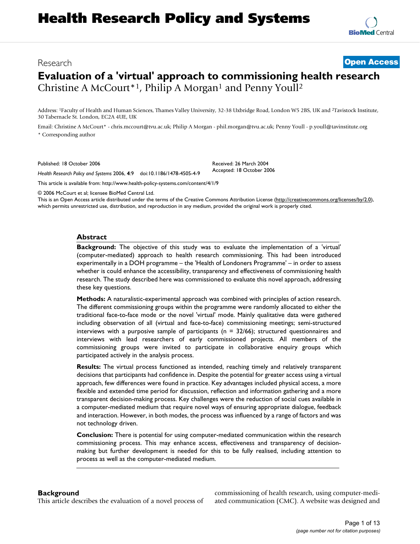# Research **[Open Access](http://www.biomedcentral.com/info/about/charter/)**

# **Evaluation of a 'virtual' approach to commissioning health research** Christine A McCourt<sup>\*1</sup>, Philip A Morgan<sup>1</sup> and Penny Youll<sup>2</sup>

Address: 1Faculty of Health and Human Sciences, Thames Valley University, 32-38 Uxbridge Road, London W5 2BS, UK and 2Tavistock Institute, 30 Tabernacle St. London, EC2A 4UE, UK

> Received: 26 March 2004 Accepted: 18 October 2006

Email: Christine A McCourt\* - chris.mccourt@tvu.ac.uk; Philip A Morgan - phil.morgan@tvu.ac.uk; Penny Youll - p.youll@tavinstitute.org \* Corresponding author

Published: 18 October 2006

*Health Research Policy and Systems* 2006, **4**:9 doi:10.1186/1478-4505-4-9

[This article is available from: http://www.health-policy-systems.com/content/4/1/9](http://www.health-policy-systems.com/content/4/1/9)

© 2006 McCourt et al; licensee BioMed Central Ltd.

This is an Open Access article distributed under the terms of the Creative Commons Attribution License [\(http://creativecommons.org/licenses/by/2.0\)](http://creativecommons.org/licenses/by/2.0), which permits unrestricted use, distribution, and reproduction in any medium, provided the original work is properly cited.

### **Abstract**

**Background:** The objective of this study was to evaluate the implementation of a 'virtual' (computer-mediated) approach to health research commissioning. This had been introduced experimentally in a DOH programme – the 'Health of Londoners Programme' – in order to assess whether is could enhance the accessibility, transparency and effectiveness of commissioning health research. The study described here was commissioned to evaluate this novel approach, addressing these key questions.

**Methods:** A naturalistic-experimental approach was combined with principles of action research. The different commissioning groups within the programme were randomly allocated to either the traditional face-to-face mode or the novel 'virtual' mode. Mainly qualitative data were gathered including observation of all (virtual and face-to-face) commissioning meetings; semi-structured interviews with a purposive sample of participants ( $n = 32/66$ ); structured questionnaires and interviews with lead researchers of early commissioned projects. All members of the commissioning groups were invited to participate in collaborative enquiry groups which participated actively in the analysis process.

**Results:** The virtual process functioned as intended, reaching timely and relatively transparent decisions that participants had confidence in. Despite the potential for greater access using a virtual approach, few differences were found in practice. Key advantages included physical access, a more flexible and extended time period for discussion, reflection and information gathering and a more transparent decision-making process. Key challenges were the reduction of social cues available in a computer-mediated medium that require novel ways of ensuring appropriate dialogue, feedback and interaction. However, in both modes, the process was influenced by a range of factors and was not technology driven.

**Conclusion:** There is potential for using computer-mediated communication within the research commissioning process. This may enhance access, effectiveness and transparency of decisionmaking but further development is needed for this to be fully realised, including attention to process as well as the computer-mediated medium.

### **Background**

This article describes the evaluation of a novel process of

commissioning of health research, using computer-mediated communication (CMC). A website was designed and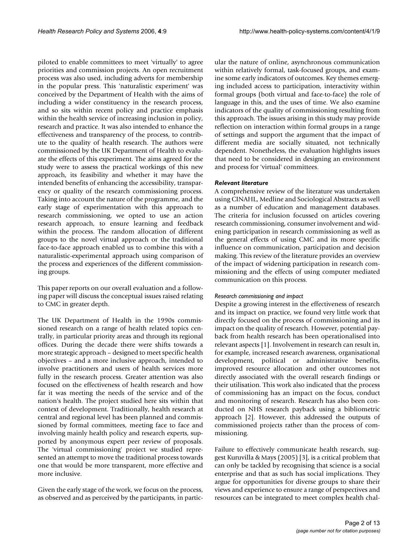piloted to enable committees to meet 'virtually' to agree priorities and commission projects. An open recruitment process was also used, including adverts for membership in the popular press. This 'naturalistic experiment' was conceived by the Department of Health with the aims of including a wider constituency in the research process, and so sits within recent policy and practice emphasis within the health service of increasing inclusion in policy, research and practice. It was also intended to enhance the effectiveness and transparency of the process, to contribute to the quality of health research. The authors were commissioned by the UK Department of Health to evaluate the effects of this experiment. The aims agreed for the study were to assess the practical workings of this new approach, its feasibility and whether it may have the intended benefits of enhancing the accessibility, transparency or quality of the research commissioning process. Taking into account the nature of the programme, and the early stage of experimentation with this approach to research commissioning, we opted to use an action research approach, to ensure learning and feedback within the process. The random allocation of different groups to the novel virtual approach or the traditional face-to-face approach enabled us to combine this with a naturalistic-experimental approach using comparison of the process and experiences of the different commissioning groups.

This paper reports on our overall evaluation and a following paper will discuss the conceptual issues raised relating to CMC in greater depth.

The UK Department of Health in the 1990s commissioned research on a range of health related topics centrally, in particular priority areas and through its regional offices. During the decade there were shifts towards a more strategic approach – designed to meet specific health objectives – and a more inclusive approach, intended to involve practitioners and users of health services more fully in the research process. Greater attention was also focused on the effectiveness of health research and how far it was meeting the needs of the service and of the nation's health. The project studied here sits within that context of development. Traditionally, health research at central and regional level has been planned and commissioned by formal committees, meeting face to face and involving mainly health policy and research experts, supported by anonymous expert peer review of proposals. The 'virtual commissioning' project we studied represented an attempt to move the traditional process towards one that would be more transparent, more effective and more inclusive.

Given the early stage of the work, we focus on the process, as observed and as perceived by the participants, in particular the nature of online, asynchronous communication within relatively formal, task-focused groups, and examine some early indicators of outcomes. Key themes emerging included access to participation, interactivity within formal groups (both virtual and face-to-face) the role of language in this, and the uses of time. We also examine indicators of the quality of commissioning resulting from this approach. The issues arising in this study may provide reflection on interaction within formal groups in a range of settings and support the argument that the impact of different media are socially situated, not technically dependent. Nonetheless, the evaluation highlights issues that need to be considered in designing an environment and process for 'virtual' committees.

# *Relevant literature*

A comprehensive review of the literature was undertaken using CINAHL, Medline and Sociological Abstracts as well as a number of education and management databases. The criteria for inclusion focussed on articles covering research commissioning, consumer involvement and widening participation in research commissioning as well as the general effects of using CMC and its more specific influence on communication, participation and decision making. This review of the literature provides an overview of the impact of widening participation in research commissioning and the effects of using computer mediated communication on this process.

### *Research commissioning and impact*

Despite a growing interest in the effectiveness of research and its impact on practice, we found very little work that directly focused on the process of commissioning and its impact on the quality of research. However, potential payback from health research has been operationalised into relevant aspects [1]. Involvement in research can result in, for example, increased research awareness, organisational development, political or administrative benefits, improved resource allocation and other outcomes not directly associated with the overall research findings or their utilisation. This work also indicated that the process of commissioning has an impact on the focus, conduct and monitoring of research. Research has also been conducted on NHS research payback using a bibliometric approach [2]. However, this addressed the outputs of commissioned projects rather than the process of commissioning.

Failure to effectively communicate health research, suggest Kuruvilla & Mays (2005) [3], is a critical problem that can only be tackled by recognising that science is a social enterprise and that as such has social implications. They argue for opportunities for diverse groups to share their views and experience to ensure a range of perspectives and resources can be integrated to meet complex health chal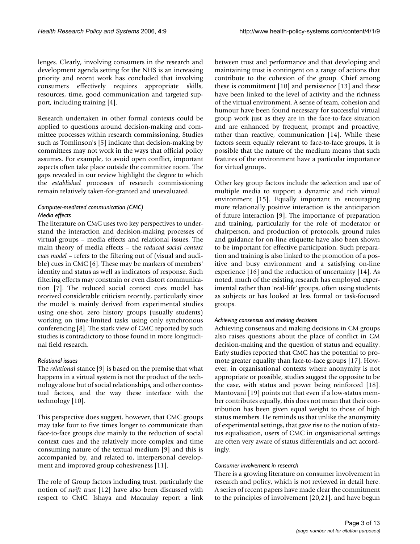lenges. Clearly, involving consumers in the research and development agenda setting for the NHS is an increasing priority and recent work has concluded that involving consumers effectively requires appropriate skills, resources, time, good communication and targeted support, including training [4].

Research undertaken in other formal contexts could be applied to questions around decision-making and committee processes within research commissioning. Studies such as Tomlinson's [5] indicate that decision-making by committees may not work in the ways that official policy assumes. For example, to avoid open conflict, important aspects often take place outside the committee room. The gaps revealed in our review highlight the degree to which the *established* processes of research commissioning remain relatively taken-for-granted and unevaluated.

# *Computer-mediated communication (CMC) Media effects*

The literature on CMC uses two key perspectives to understand the interaction and decision-making processes of virtual groups – media effects and relational issues. The main theory of media effects – the *reduced social context cues model* – refers to the filtering out of (visual and audible) cues in CMC [6]. These may be markers of members' identity and status as well as indicators of response. Such filtering effects may constrain or even distort communication [7]. The reduced social context cues model has received considerable criticism recently, particularly since the model is mainly derived from experimental studies using one-shot, zero history groups (usually students) working on time-limited tasks using only synchronous conferencing [8]. The stark view of CMC reported by such studies is contradictory to those found in more longitudinal field research.

# *Relational issues*

The *relational* stance [9] is based on the premise that what happens in a virtual system is not the product of the technology alone but of social relationships, and other contextual factors, and the way these interface with the technology [10].

This perspective does suggest, however, that CMC groups may take four to five times longer to communicate than face-to-face groups due mainly to the reduction of social context cues and the relatively more complex and time consuming nature of the textual medium [9] and this is accompanied by, and related to, interpersonal development and improved group cohesiveness [11].

The role of Group factors including trust, particularly the notion of *swift trust* [12] have also been discussed with respect to CMC. Ishaya and Macaulay report a link between trust and performance and that developing and maintaining trust is contingent on a range of actions that contribute to the cohesion of the group. Chief among these is commitment [10] and persistence [13] and these have been linked to the level of activity and the richness of the virtual environment. A sense of team, cohesion and humour have been found necessary for successful virtual group work just as they are in the face-to-face situation and are enhanced by frequent, prompt and proactive, rather than reactive, communication [14]. While these factors seem equally relevant to face-to-face groups, it is possible that the nature of the medium means that such features of the environment have a particular importance for virtual groups.

Other key group factors include the selection and use of multiple media to support a dynamic and rich virtual environment [15]. Equally important in encouraging more relationally positive interaction is the anticipation of future interaction [9]. The importance of preparation and training, particularly for the role of moderator or chairperson, and production of protocols, ground rules and guidance for on-line etiquette have also been shown to be important for effective participation. Such preparation and training is also linked to the promotion of a positive and busy environment and a satisfying on-line experience [16] and the reduction of uncertainty [14]. As noted, much of the existing research has employed experimental rather than 'real-life' groups, often using students as subjects or has looked at less formal or task-focused groups.

# *Achieving consensus and making decisions*

Achieving consensus and making decisions in CM groups also raises questions about the place of conflict in CM decision-making and the question of status and equality. Early studies reported that CMC has the potential to promote greater equality than face-to-face groups [17]. However, in organisational contexts where anonymity is not appropriate or possible, studies suggest the opposite to be the case, with status and power being reinforced [18]. Mantovani [19] points out that even if a low-status member contributes equally, this does not mean that their contribution has been given equal weight to those of high status members. He reminds us that unlike the anonymity of experimental settings, that gave rise to the notion of status equalisation, users of CMC in organisational settings are often very aware of status differentials and act accordingly.

# *Consumer involvement in research*

There is a growing literature on consumer involvement in research and policy, which is not reviewed in detail here. A series of recent papers have made clear the commitment to the principles of involvement [20,21], and have begun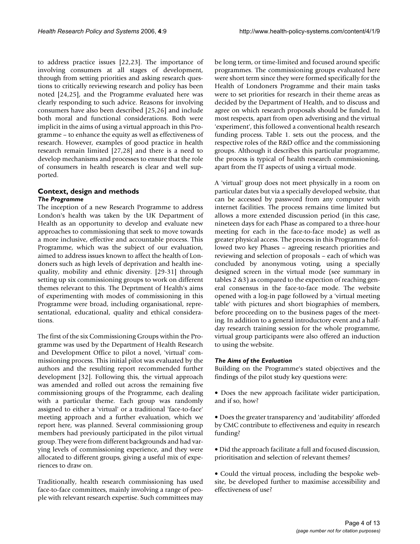to address practice issues [22,23]. The importance of involving consumers at all stages of development, through from setting priorities and asking research questions to critically reviewing research and policy has been noted [24,25], and the Programme evaluated here was clearly responding to such advice. Reasons for involving consumers have also been described [25,26] and include both moral and functional considerations. Both were implicit in the aims of using a virtual approach in this Programme – to enhance the equity as well as effectiveness of research. However, examples of good practice in health research remain limited [27,28] and there is a need to develop mechanisms and processes to ensure that the role of consumers in health research is clear and well supported.

### **Context, design and methods** *The Programme*

The inception of a new Research Programme to address London's health was taken by the UK Department of Health as an opportunity to develop and evaluate new approaches to commissioning that seek to move towards a more inclusive, effective and accountable process. This Programme, which was the subject of our evaluation, aimed to address issues known to affect the health of Londoners such as high levels of deprivation and health inequality, mobility and ethnic diversity. [29-31] through setting up six commissioning groups to work on different themes relevant to this. The Deprtment of Health's aims of experimenting with modes of commissioning in this Programme were broad, including organisational, representational, educational, quality and ethical considerations.

The first of the six Commissioning Groups within the Programme was used by the Department of Health Research and Development Office to pilot a novel, 'virtual' commissioning process. This initial pilot was evaluated by the authors and the resulting report recommended further development [32]. Following this, the virtual approach was amended and rolled out across the remaining five commissioning groups of the Programme, each dealing with a particular theme. Each group was randomly assigned to either a 'virtual' or a traditional 'face-to-face' meeting approach and a further evaluation, which we report here, was planned. Several commissioning group members had previously participated in the pilot virtual group. They were from different backgrounds and had varying levels of commissioning experience, and they were allocated to different groups, giving a useful mix of experiences to draw on.

Traditionally, health research commissioning has used face-to-face committees, mainly involving a range of people with relevant research expertise. Such committees may be long term, or time-limited and focused around specific programmes. The commissioning groups evaluated here were short term since they were formed specifically for the Health of Londoners Programme and their main tasks were to set priorities for research in their theme areas as decided by the Department of Health, and to discuss and agree on which research proposals should be funded. In most respects, apart from open advertising and the virtual 'experiment', this followed a conventional health research funding process. Table 1. sets out the process, and the respective roles of the R&D office and the commissioning groups. Although it describes this particular programme, the process is typical of health research commissioning, apart from the IT aspects of using a virtual mode.

A 'virtual' group does not meet physically in a room on particular dates but via a specially developed website, that can be accessed by password from any computer with internet facilities. The process remains time limited but allows a more extended discussion period (in this case, nineteen days for each Phase as compared to a three-hour meeting for each in the face-to-face mode) as well as greater physical access. The process in this Programme followed two key Phases – agreeing research priorities and reviewing and selection of proposals – each of which was concluded by anonymous voting, using a specially designed screen in the virtual mode (see summary in tables 2 &3) as compared to the expection of reaching general consensus in the face-to-face mode. The website opened with a log-in page followed by a 'virtual meeting table' with pictures and short biographies of members, before proceeding on to the business pages of the meeting. In addition to a general introductory event and a halfday research training session for the whole programme, virtual group participants were also offered an induction to using the website.

### *The Aims of the Evaluation*

Building on the Programme's stated objectives and the findings of the pilot study key questions were:

• Does the new approach facilitate wider participation, and if so, how?

• Does the greater transparency and 'auditability' afforded by CMC contribute to effectiveness and equity in research funding?

• Did the approach facilitate a full and focused discussion, prioritisation and selection of relevant themes?

• Could the virtual process, including the bespoke website, be developed further to maximise accessibility and effectiveness of use?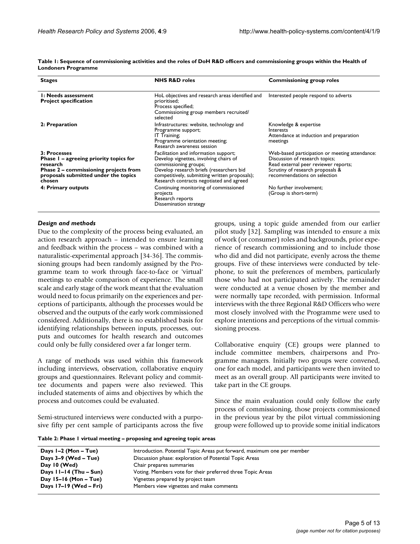| <b>Stages</b>                                                                                                                                                                              | <b>NHS R&amp;D roles</b>                                                                                                                                                                                                                                                                                                                             | <b>Commissioning group roles</b>                                                                                                                                                                                                                 |
|--------------------------------------------------------------------------------------------------------------------------------------------------------------------------------------------|------------------------------------------------------------------------------------------------------------------------------------------------------------------------------------------------------------------------------------------------------------------------------------------------------------------------------------------------------|--------------------------------------------------------------------------------------------------------------------------------------------------------------------------------------------------------------------------------------------------|
| I: Needs assessment<br><b>Project specification</b>                                                                                                                                        | HoL objectives and research areas identified and<br>prioritised;<br>Process specified;<br>Commissioning group members recruited/<br>selected                                                                                                                                                                                                         | Interested people respond to adverts                                                                                                                                                                                                             |
| 2: Preparation                                                                                                                                                                             | Infrastructures: website, technology and<br>Programme support;<br>IT Training;<br>Programme orientation meeting;<br>Research awareness session                                                                                                                                                                                                       | Knowledge & expertise<br>Interests<br>Attendance at induction and preparation<br>meetings                                                                                                                                                        |
| 3: Processes<br><b>Phase I</b> – agreeing priority topics for<br>research<br>Phase 2 - commissioning projects from<br>proposals submitted under the topics<br>chosen<br>4: Primary outputs | Facilitation and information support;<br>Develop vignettes, involving chairs of<br>commissioning groups;<br>Develop research briefs (researchers bid<br>competitively, submitting written proposals);<br>Research contracts negotiated and agreed<br>Continuing monitoring of commissioned<br>projects<br>Research reports<br>Dissemination strategy | Web-based participation or meeting attendance:<br>Discussion of research topics;<br>Read external peer reviewer reports;<br>Scrutiny of research proposals &<br>recommendations on selection<br>No further involvement;<br>(Group is short-term) |

**Table 1: Sequence of commissioning activities and the roles of DoH R&D officers and commissioning groups within the Health of Londoners Programme**

### *Design and methods*

Due to the complexity of the process being evaluated, an action research approach – intended to ensure learning and feedback within the process – was combined with a naturalistic-experimental approach [34-36]. The commissioning groups had been randomly assigned by the Programme team to work through face-to-face or 'virtual' meetings to enable comparison of experience. The small scale and early stage of the work meant that the evaluation would need to focus primarily on the experiences and perceptions of participants, although the processes would be observed and the outputs of the early work commissioned considered. Additionally, there is no established basis for identifying relationships between inputs, processes, outputs and outcomes for health research and outcomes could only be fully considered over a far longer term.

A range of methods was used within this framework including interviews, observation, collaborative enquiry groups and questionnaires. Relevant policy and committee documents and papers were also reviewed. This included statements of aims and objectives by which the process and outcomes could be evaluated.

Semi-structured interviews were conducted with a purposive fifty per cent sample of participants across the five groups, using a topic guide amended from our earlier pilot study [32]. Sampling was intended to ensure a mix of work (or consumer) roles and backgrounds, prior experience of research commissioning and to include those who did and did not participate, evenly across the theme groups. Five of these interviews were conducted by telephone, to suit the preferences of members, particularly those who had not participated actively. The remainder were conducted at a venue chosen by the member and were normally tape recorded, with permission. Informal interviews with the three Regional R&D Officers who were most closely involved with the Programme were used to explore intentions and perceptions of the virtual commissioning process.

Collaborative enquiry (CE) groups were planned to include committee members, chairpersons and Programme managers. Initially two groups were convened, one for each model, and participants were then invited to meet as an overall group. All participants were invited to take part in the CE groups.

Since the main evaluation could only follow the early process of commissioning, those projects commissioned in the previous year by the pilot virtual commissioning group were followed up to provide some initial indicators

**Table 2: Phase 1 virtual meeting – proposing and agreeing topic areas**

| Days $I-2$ (Mon – Tue)   | Introduction. Potential Topic Areas put forward, maximum one per member |
|--------------------------|-------------------------------------------------------------------------|
| Days $3-9$ (Wed – Tue)   | Discussion phase: exploration of Potential Topic Areas                  |
| Day $10$ (Wed)           | Chair prepares summaries                                                |
| Days $11-14$ (Thu – Sun) | Voting. Members vote for their preferred three Topic Areas              |
| Day $15-16$ (Mon - Tue)  | Vignettes prepared by project team                                      |
| Days $17-19$ (Wed – Fri) | Members view vignettes and make comments                                |
|                          |                                                                         |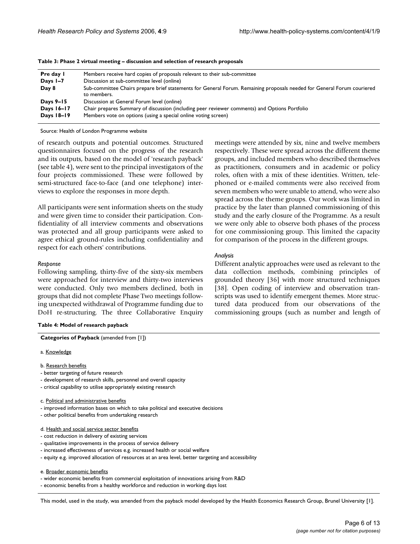meetings were attended by six, nine and twelve members respectively. These were spread across the different theme groups, and included members who described themselves as practitioners, consumers and in academic or policy roles, often with a mix of these identities. Written, telephoned or e-mailed comments were also received from seven members who were unable to attend, who were also spread across the theme groups. Our work was limited in practice by the later than planned commissioning of this study and the early closure of the Programme. As a result we were only able to observe both phases of the process for one commissioning group. This limited the capacity for comparison of the process in the different groups.

Different analytic approaches were used as relevant to the data collection methods, combining principles of grounded theory [36] with more structured techniques [38]. Open coding of interview and observation transcripts was used to identify emergent themes. More structured data produced from our observations of the commissioning groups (such as number and length of

| Pre day I     | Members receive hard copies of proposals relevant to their sub-committee                                                               |
|---------------|----------------------------------------------------------------------------------------------------------------------------------------|
| Days 1-7      | Discussion at sub-committee level (online)                                                                                             |
| Day 8         | Sub-committee Chairs prepare brief statements for General Forum. Remaining proposals needed for General Forum couriered<br>to members. |
| Days $9 - 15$ | Discussion at General Forum level (online)                                                                                             |
| Days $16-17$  | Chair prepares Summary of discussion (including peer reviewer comments) and Options Portfolio                                          |
| Days $18-19$  | Members vote on options (using a special online voting screen)                                                                         |

*Analysis*

#### **Table 3: Phase 2 virtual meeting – discussion and selection of research proposals**

Source: Health of London Programme website

of research outputs and potential outcomes. Structured questionnaires focused on the progress of the research and its outputs, based on the model of 'research payback' (see table 4), were sent to the principal investigators of the four projects commissioned. These were followed by semi-structured face-to-face (and one telephone) interviews to explore the responses in more depth.

All participants were sent information sheets on the study and were given time to consider their participation. Confidentiality of all interview comments and observations was protected and all group participants were asked to agree ethical ground-rules including confidentiality and respect for each others' contributions.

#### *Response*

Following sampling, thirty-five of the sixty-six members were approached for interview and thirty-two interviews were conducted. Only two members declined, both in groups that did not complete Phase Two meetings following unexpected withdrawal of Programme funding due to DoH re-structuring. The three Collaborative Enquiry

#### **Table 4: Model of research payback**

**Categories of Payback** (amended from [1])

a. Knowledge

#### b. Research benefits

- better targeting of future research
- development of research skills, personnel and overall capacity
- critical capability to utilise appropriately existing research

c. Political and administrative benefits

- improved information bases on which to take political and executive decisions
- other political benefits from undertaking research

d. Health and social service sector benefits

- cost reduction in delivery of existing services
- qualitative improvements in the process of service delivery
- increased effectiveness of services e.g. increased health or social welfare
- equity e.g. improved allocation of resources at an area level, better targeting and accessibility
- e. Broader economic benefits
- wider economic benefits from commercial exploitation of innovations arising from R&D

- economic benefits from a healthy workforce and reduction in working days lost

This model, used in the study, was amended from the payback model developed by the Health Economics Research Group, Brunel University [1].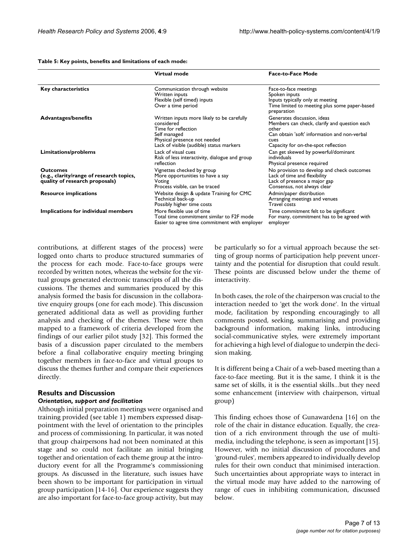|  | Table 5: Key points, benefits and limitations of each mode: |
|--|-------------------------------------------------------------|
|--|-------------------------------------------------------------|

|                                                                                               | Virtual mode                                                                                                                                                                | <b>Face-to-Face Mode</b>                                                                                                                                                            |
|-----------------------------------------------------------------------------------------------|-----------------------------------------------------------------------------------------------------------------------------------------------------------------------------|-------------------------------------------------------------------------------------------------------------------------------------------------------------------------------------|
| <b>Key characteristics</b>                                                                    | Communication through website<br>Written inputs<br>Flexible (self timed) inputs<br>Over a time period                                                                       | Face-to-face meetings<br>Spoken inputs<br>Inputs typically only at meeting<br>Time limited to meeting plus some paper-based<br>preparation                                          |
| <b>Advantages/benefits</b>                                                                    | Written inputs more likely to be carefully<br>considered<br>Time for reflection<br>Self managed<br>Physical presence not needed<br>Lack of visible (audible) status markers | Generates discussion, ideas<br>Members can check, clarify and question each<br>other<br>Can obtain 'soft' information and non-verbal<br>cues<br>Capacity for on-the-spot reflection |
| Limitations/problems                                                                          | Lack of visual cues<br>Risk of less interactivity, dialogue and group<br>reflection                                                                                         | Can get skewed by powerful/dominant<br>individuals<br>Physical presence required                                                                                                    |
| <b>Outcomes</b><br>(e.g., clarity/range of research topics,<br>quality of research proposals) | Vignettes checked by group<br>More opportunities to have a say<br>Voting<br>Process visible, can be traced                                                                  | No provision to develop and check outcomes<br>Lack of time and flexibility<br>Lack of presence a major gap<br>Consensus, not always clear                                           |
| <b>Resource implications</b>                                                                  | Website design & update Training for CMC<br>Technical back-up<br>Possibly higher time costs                                                                                 | Admin/paper distribution<br>Arranging meetings and venues<br><b>Travel costs</b>                                                                                                    |
| Implications for individual members                                                           | More flexible use of time<br>Total time commitment similar to F2F mode<br>Easier to agree time commitment with employer                                                     | Time commitment felt to be significant<br>For many, commitment has to be agreed with<br>employer                                                                                    |

contributions, at different stages of the process) were logged onto charts to produce structured summaries of the process for each mode. Face-to-face groups were recorded by written notes, whereas the website for the virtual groups generated electronic transcripts of all the discussions. The themes and summaries produced by this analysis formed the basis for discussion in the collaborative enquiry groups (one for each mode). This discussion generated additional data as well as providing further analysis and checking of the themes. These were then mapped to a framework of criteria developed from the findings of our earlier pilot study [32]. This formed the basis of a discussion paper circulated to the members before a final collaborative enquiry meeting bringing together members in face-to-face and virtual groups to discuss the themes further and compare their experiences directly.

# **Results and Discussion**

### *Orientation, support and facilitation*

Although initial preparation meetings were organised and training provided (see table 1) members expressed disappointment with the level of orientation to the principles and process of commissioning. In particular, it was noted that group chairpersons had not been nominated at this stage and so could not facilitate an initial bringing together and orientation of each theme group at the introductory event for all the Programme's commissioning groups. As discussed in the literature, such issues have been shown to be important for participation in virtual group participation [14-16]. Our experience suggests they are also important for face-to-face group activity, but may be particularly so for a virtual approach because the setting of group norms of participation help prevent uncertainty and the potential for disruption that could result. These points are discussed below under the theme of interactivity.

In both cases, the role of the chairperson was crucial to the interaction needed to 'get the work done'. In the virtual mode, facilitation by responding encouragingly to all comments posted, seeking, summarising and providing background information, making links, introducing social-communicative styles, were extremely important for achieving a high level of dialogue to underpin the decision making.

It is different being a Chair of a web-based meeting than a face-to-face meeting. But it is the same, I think it is the same set of skills, it is the essential skills...but they need some enhancement (interview with chairperson, virtual group)

This finding echoes those of Gunawardena [16] on the role of the chair in distance education. Equally, the creation of a rich environment through the use of multimedia, including the telephone, is seen as important [15]. However, with no initial discussion of procedures and 'ground-rules', members appeared to individually develop rules for their own conduct that minimised interaction. Such uncertainties about appropriate ways to interact in the virtual mode may have added to the narrowing of range of cues in inhibiting communication, discussed below.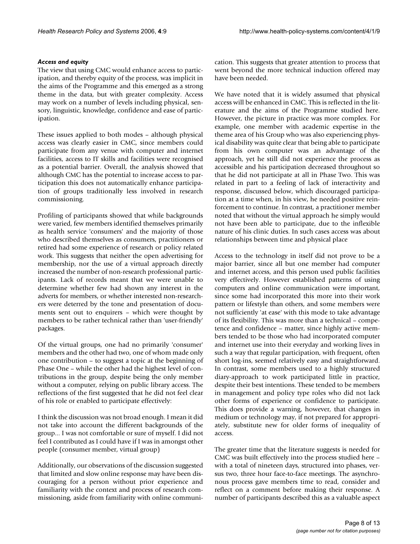### *Access and equity*

The view that using CMC would enhance access to participation, and thereby equity of the process, was implicit in the aims of the Programme and this emerged as a strong theme in the data, but with greater complexity. Access may work on a number of levels including physical, sensory, linguistic, knowledge, confidence and ease of participation.

These issues applied to both modes – although physical access was clearly easier in CMC, since members could participate from any venue with computer and internet facilities, access to IT skills and facilities were recognised as a potential barrier. Overall, the analysis showed that although CMC has the potential to increase access to participation this does not automatically enhance participation of groups traditionally less involved in research commissioning.

Profiling of participants showed that while backgrounds were varied, few members identified themselves primarily as health service 'consumers' and the majority of those who described themselves as consumers, practitioners or retired had some experience of research or policy related work. This suggests that neither the open advertising for membership, nor the use of a virtual approach directly increased the number of non-research professional participants. Lack of records meant that we were unable to determine whether few had shown any interest in the adverts for members, or whether interested non-researchers were deterred by the tone and presentation of documents sent out to enquirers – which were thought by members to be rather technical rather than 'user-friendly' packages.

Of the virtual groups, one had no primarily 'consumer' members and the other had two, one of whom made only one contribution – to suggest a topic at the beginning of Phase One – while the other had the highest level of contributions in the group, despite being the only member without a computer, relying on public library access. The reflections of the first suggested that he did not feel clear of his role or enabled to participate effectively:

I think the discussion was not broad enough. I mean it did not take into account the different backgrounds of the group... I was not comfortable or sure of myself. I did not feel I contributed as I could have if I was in amongst other people (consumer member, virtual group)

Additionally, our observations of the discussion suggested that limited and slow online response may have been discouraging for a person without prior experience and familiarity with the context and process of research commissioning, aside from familiarity with online communication. This suggests that greater attention to process that went beyond the more technical induction offered may have been needed.

We have noted that it is widely assumed that physical access will be enhanced in CMC. This is reflected in the literature and the aims of the Programme studied here. However, the picture in practice was more complex. For example, one member with academic expertise in the theme area of his Group who was also experiencing physical disability was quite clear that being able to participate from his own computer was an advantage of the approach, yet he still did not experience the process as accessible and his participation decreased throughout so that he did not participate at all in Phase Two. This was related in part to a feeling of lack of interactivity and response, discussed below, which discouraged participation at a time when, in his view, he needed positive reinforcement to continue. In contrast, a practitioner member noted that without the virtual approach he simply would not have been able to participate, due to the inflexible nature of his clinic duties. In such cases access was about relationships between time and physical place

Access to the technology in itself did not prove to be a major barrier, since all but one member had computer and internet access, and this person used public facilities very effectively. However established patterns of using computers and online communication were important, since some had incorporated this more into their work pattern or lifestyle than others, and some members were not sufficiently 'at ease' with this mode to take advantage of its flexibility. This was more than a technical – competence and confidence – matter, since highly active members tended to be those who had incorporated computer and internet use into their everyday and working lives in such a way that regular participation, with frequent, often short log-ins, seemed relatively easy and straightforward. In contrast, some members used to a highly structured diary-approach to work participated little in practice, despite their best intentions. These tended to be members in management and policy type roles who did not lack other forms of experience or confidence to participate. This does provide a warning, however, that changes in medium or technology may, if not prepared for appropriately, substitute new for older forms of inequality of access.

The greater time that the literature suggests is needed for CMC was built effectively into the process studied here – with a total of nineteen days, structured into phases, versus two, three hour face-to-face meetings. The asynchronous process gave members time to read, consider and reflect on a comment before making their response. A number of participants described this as a valuable aspect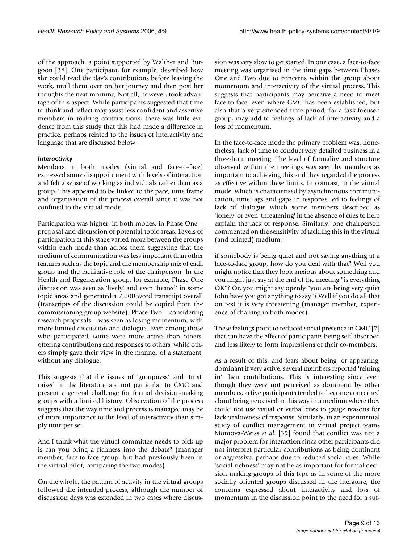of the approach, a point supported by Walther and Burgoon [38]. One participant, for example, described how she could read the day's contributions before leaving the work, mull them over on her journey and then post her thoughts the next morning. Not all, however, took advantage of this aspect. While participants suggested that time to think and reflect may assist less confident and assertive members in making contributions, there was little evidence from this study that this had made a difference in practice, perhaps related to the issues of interactivity and language that are discussed below.

### *Interactivity*

Members in both modes (virtual and face-to-face) expressed some disappointment with levels of interaction and felt a sense of working as individuals rather than as a group. This appeared to be linked to the pace, time frame and organisation of the process overall since it was not confined to the virtual mode.

Participation was higher, in both modes, in Phase One – proposal and discussion of potential topic areas. Levels of participation at this stage varied more between the groups within each mode than across them suggesting that the medium of communication was less important than other features such as the topic and the membership mix of each group and the facilitative role of the chairperson. In the Health and Regeneration group, for example, Phase One discussion was seen as 'lively' and even 'heated' in some topic areas and generated a 7,000 word transcript overall (transcripts of the discussion could be copied from the commissioning group website). Phase Two – considering research proposals – was seen as losing momentum, with more limited discussion and dialogue. Even among those who participated, some were more active than others, offering contributions and responses to others, while others simply gave their view in the manner of a statement, without any dialogue.

This suggests that the issues of 'groupness' and 'trust' raised in the literature are not particular to CMC and present a general challenge for formal decision-making groups with a limited history. Observation of the process suggests that the way time and process is managed may be of more importance to the level of interactivity than simply time per se:

And I think what the virtual committee needs to pick up is can you bring a richness into the debate? (manager member, face-to-face group, but had previously been in the virtual pilot, comparing the two modes)

On the whole, the pattern of activity in the virtual groups followed the intended process, although the number of discussion days was extended in two cases where discussion was very slow to get started. In one case, a face-to-face meeting was organised in the time gaps between Phases One and Two due to concerns within the group about momentum and interactivity of the virtual process. This suggests that participants may perceive a need to meet face-to-face, even where CMC has been established, but also that a very extended time period, for a task-focused group, may add to feelings of lack of interactivity and a loss of momentum.

In the face-to-face mode the primary problem was, nonetheless, lack of time to conduct very detailed business in a three-hour meeting. The level of formality and structure observed within the meetings was seen by members as important to achieving this and they regarded the process as effective within these limits. In contrast, in the virtual mode, which is characterised by asynchronous communication, time lags and gaps in response led to feelings of lack of dialogue which some members described as 'lonely' or even 'threatening' in the absence of cues to help explain the lack of response. Similarly, one chairperson commented on the sensitivity of tackling this in the virtual (and printed) medium:

if somebody is being quiet and not saying anything at a face-to-face group, how do you deal with that? Well you might notice that they look anxious about something and you might just say at the end of the meeting "is everything OK"? Or, you might say openly "you are being very quiet John have you got anything to say"? Well if you do all that on text it is very threatening (manager member, experience of chairing in both modes).

These feelings point to reduced social presence in CMC [7] that can have the effect of participants being self-absorbed and less likely to form impressions of their co-members.

As a result of this, and fears about being, or appearing, dominant if very active, several members reported 'reining in' their contributions. This is interesting since even though they were not perceived as dominant by other members, active participants tended to become concerned about being perceived in this way in a medium where they could not use visual or verbal cues to gauge reasons for lack or slowness of response. Similarly, in an experimental study of conflict management in virtual project teams Montoya-Weiss *et al*. [39] found that conflict was not a major problem for interaction since other participants did not interpret particular contributions as being dominant or aggressive, perhaps due to reduced social cues. While 'social richness' may not be as important for formal decision making groups of this type as in some of the more socially oriented groups discussed in the literature, the concerns expressed about interactivity and loss of momentum in the discussion point to the need for a suf-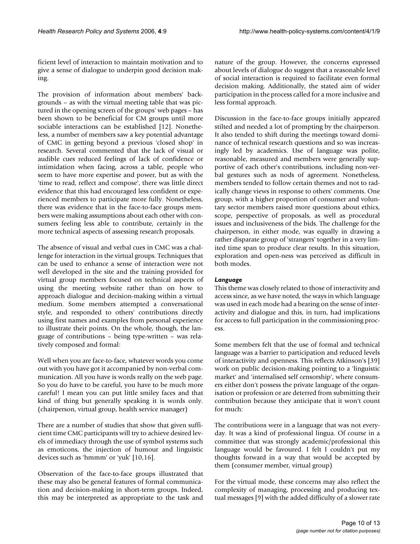ficient level of interaction to maintain motivation and to give a sense of dialogue to underpin good decision making.

The provision of information about members' backgrounds – as with the virtual meeting table that was pictured in the opening screen of the groups' web pages – has been shown to be beneficial for CM groups until more sociable interactions can be established [12]. Nonetheless, a number of members saw a key potential advantage of CMC in getting beyond a previous 'closed shop' in research. Several commented that the lack of visual or audible cues reduced feelings of lack of confidence or intimidation when facing, across a table, people who seem to have more expertise and power, but as with the 'time to read, reflect and compose', there was little direct evidence that this had encouraged less confident or experienced members to participate more fully. Nonetheless, there was evidence that in the face-to-face groups members were making assumptions about each other with consumers feeling less able to contribute, certainly in the more technical aspects of assessing research proposals.

The absence of visual and verbal cues in CMC was a challenge for interaction in the virtual groups. Techniques that can be used to enhance a sense of interaction were not well developed in the site and the training provided for virtual group members focused on technical aspects of using the meeting website rather than on how to approach dialogue and decision-making within a virtual medium. Some members attempted a conversational style, and responded to others' contributions directly using first names and examples from personal experience to illustrate their points. On the whole, though, the language of contributions – being type-written – was relatively composed and formal:

Well when you are face-to-face, whatever words you come out with you have got it accompanied by non-verbal communication. All you have is words really on the web page. So you do have to be careful, you have to be much more careful! I mean you can put little smiley faces and that kind of thing but generally speaking it is words only. (chairperson, virtual group, health service manager)

There are a number of studies that show that given sufficient time CMC participants will try to achieve desired levels of immediacy through the use of symbol systems such as emoticons, the injection of humour and linguistic devices such as 'hmmm' or 'yuk' [10,16].

Observation of the face-to-face groups illustrated that these may also be general features of formal communication and decision-making in short-term groups. Indeed, this may be interpreted as appropriate to the task and nature of the group. However, the concerns expressed about levels of dialogue do suggest that a reasonable level of social interaction is required to facilitate even formal decision making. Additionally, the stated aim of wider participation in the process called for a more inclusive and less formal approach.

Discussion in the face-to-face groups initially appeared stilted and needed a lot of prompting by the chairperson. It also tended to shift during the meetings toward dominance of technical research questions and so was increasingly led by academics. Use of language was polite, reasonable, measured and members were generally supportive of each other's contributions, including non-verbal gestures such as nods of agreement. Nonetheless, members tended to follow certain themes and not to radically change views in response to others' comments. One group, with a higher proportion of consumer and voluntary sector members raised more questions about ethics, scope, perspective of proposals, as well as procedural issues and inclusiveness of the bids. The challenge for the chairperson, in either mode, was equally in drawing a rather disparate group of 'strangers' together in a very limited time span to produce clear results. In this situation, exploration and open-ness was perceived as difficult in both modes.

# *Language*

This theme was closely related to those of interactivity and access since, as we have noted, the ways in which language was used in each mode had a bearing on the sense of interactivity and dialogue and this, in turn, had implications for access to full participation in the commissioning process.

Some members felt that the use of formal and technical language was a barrier to participation and reduced levels of interactivity and openness. This reflects Atkinson's [39] work on public decision-making pointing to a 'linguistic market' and 'internalised self censorship', where consumers either don't possess the private language of the organisation or profession or are deterred from submitting their contribution because they anticipate that it won't count for much:

The contributions were in a language that was not everyday. It was a kind of professional lingua. Of course in a committee that was strongly academic/professional this language would be favoured. I felt I couldn't put my thoughts forward in a way that would be accepted by them (consumer member, virtual group)

For the virtual mode, these concerns may also reflect the complexity of managing, processing and producing textual messages [9] with the added difficulty of a slower rate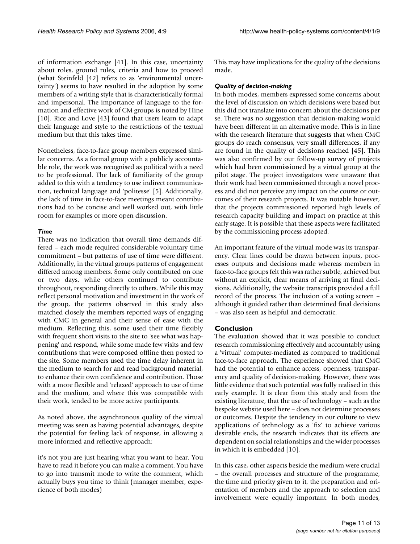of information exchange [41]. In this case, uncertainty about roles, ground rules, criteria and how to proceed (what Steinfeld [42] refers to as 'environmental uncertainty') seems to have resulted in the adoption by some members of a writing style that is characteristically formal and impersonal. The importance of language to the formation and effective work of CM groups is noted by Hine [10]. Rice and Love [43] found that users learn to adapt their language and style to the restrictions of the textual medium but that this takes time.

Nonetheless, face-to-face group members expressed similar concerns. As a formal group with a publicly accountable role, the work was recognised as political with a need to be professional. The lack of familiarity of the group added to this with a tendency to use indirect communication, technical language and 'politesse' [5]. Additionally, the lack of time in face-to-face meetings meant contributions had to be concise and well worked out, with little room for examples or more open discussion.

# *Time*

There was no indication that overall time demands differed – each mode required considerable voluntary time commitment – but patterns of use of time were different. Additionally, in the virtual groups patterns of engagement differed among members. Some only contributed on one or two days, while others continued to contribute throughout, responding directly to others. While this may reflect personal motivation and investment in the work of the group, the patterns observed in this study also matched closely the members reported ways of engaging with CMC in general and their sense of ease with the medium. Reflecting this, some used their time flexibly with frequent short visits to the site to 'see what was happening' and respond, while some made few visits and few contributions that were composed offline then posted to the site. Some members used the time delay inherent in the medium to search for and read background material, to enhance their own confidence and contribution. Those with a more flexible and 'relaxed' approach to use of time and the medium, and where this was compatible with their work, tended to be more active participants.

As noted above, the asynchronous quality of the virtual meeting was seen as having potential advantages, despite the potential for feeling lack of response, in allowing a more informed and reflective approach:

it's not you are just hearing what you want to hear. You have to read it before you can make a comment. You have to go into transmit mode to write the comment, which actually buys you time to think (manager member, experience of both modes)

This may have implications for the quality of the decisions made.

### *Quality of decision-making*

In both modes, members expressed some concerns about the level of discussion on which decisions were based but this did not translate into concern about the decisions per se. There was no suggestion that decision-making would have been different in an alternative mode. This is in line with the research literature that suggests that when CMC groups do reach consensus, very small differences, if any are found in the quality of decisions reached [45]. This was also confirmed by our follow-up survey of projects which had been commissioned by a virtual group at the pilot stage. The project investigators were unaware that their work had been commissioned through a novel process and did not perceive any impact on the course or outcomes of their research projects. It was notable however, that the projects commissioned reported high levels of research capacity building and impact on practice at this early stage. It is possible that these aspects were facilitated by the commissioning process adopted.

An important feature of the virtual mode was its transparency. Clear lines could be drawn between inputs, processes outputs and decisions made whereas members in face-to-face groups felt this was rather subtle, achieved but without an explicit, clear means of arriving at final decisions. Additionally, the website transcripts provided a full record of the process. The inclusion of a voting screen – although it guided rather than determined final decisions – was also seen as helpful and democratic.

# **Conclusion**

The evaluation showed that it was possible to conduct research commissioning effectively and accountably using a 'virtual' computer-mediated as compared to traditional face-to-face approach. The experience showed that CMC had the potential to enhance access, openness, transparency and quality of decision-making. However, there was little evidence that such potential was fully realised in this early example. It is clear from this study and from the existing literature, that the use of technology – such as the bespoke website used here – does not determine processes or outcomes. Despite the tendency in our culture to view applications of technology as a 'fix' to achieve various desirable ends, the research indicates that its effects are dependent on social relationships and the wider processes in which it is embedded [10].

In this case, other aspects beside the medium were crucial – the overall processes and structure of the programme, the time and priority given to it, the preparation and orientation of members and the approach to selection and involvement were equally important. In both modes,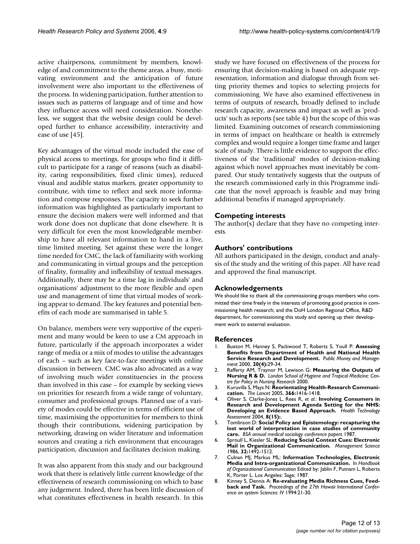active chairpersons, commitment by members, knowledge of and commitment to the theme areas, a busy, motivating environment and the anticipation of future involvement were also important to the effectiveness of the process. In widening participation, further attention to issues such as patterns of language and of time and how they influence access will need consideration. Nonetheless, we suggest that the website design could be developed further to enhance accessibility, interactivity and ease of use [45].

Key advantages of the virtual mode included the ease of physical access to meetings, for groups who find it difficult to participate for a range of reasons (such as disability, caring responsibilities, fixed clinic times), reduced visual and audible status markers, greater opportunity to contribute, with time to reflect and seek more information and compose responses. The capacity to seek further information was highlighted as particularly important to ensure the decision makers were well informed and that work done does not duplicate that done elsewhere. It is very difficult for even the most knowledgeable membership to have all relevant information to hand in a live, time limited meeting. Set against these were the longer time needed for CMC, the lack of familiarity with working and communicating in virtual groups and the perception of finality, formality and inflexibility of textual messages. Additionally, there may be a time lag in individuals' and organisations' adjustment to the more flexible and open use and management of time that virtual modes of working appear to demand. The key features and potential benefits of each mode are summarised in table 5.

On balance, members were very supportive of the experiment and many would be keen to use a CM approach in future, particularly if the approach incorporates a wider range of media or a mix of modes to utilise the advantages of each – such as key face-to-face meetings with online discussion in between. CMC was also advocated as a way of involving much wider constituencies in the process than involved in this case – for example by seeking views on priorities for research from a wide range of voluntary, consumer and professional groups. Planned use of a variety of modes could be effective in terms of efficient use of time, maximising the opportunities for members to think though their contributions, widening participation by networking, drawing on wider literature and information sources and creating a rich environment that encourages participation, discussion and facilitates decision making.

It was also apparent from this study and our background work that there is relatively little current knowledge of the effectiveness of research commissioning on which to base any judgement. Indeed, there has been little discussion of what constitutes effectiveness in health research. In this study we have focused on effectiveness of the process for ensuring that decision-making is based on adequate representation, information and dialogue through from setting priority themes and topics to selecting projects for commissioning. We have also examined effectiveness in terms of outputs of research, broadly defined to include research capacity, awareness and impact as well as 'products' such as reports (see table 4) but the scope of this was limited. Examining outcomes of research commissioning in terms of impact on healthcare or health is extremely complex and would require a longer time frame and larger scale of study. There is little evidence to support the effectiveness of the 'traditional' modes of decision-making against which novel approaches must inevitably be compared. Our study tentatively suggests that the outputs of the research commissioned early in this Programme indicate that the novel approach is feasible and may bring additional benefits if managed appropriately.

### **Competing interests**

The author(s) declare that they have no competing interests.

### **Authors' contributions**

All authors participated in the design, conduct and analysis of the study and the writing of this paper. All have read and approved the final manuscript.

### **Acknowledgements**

We should like to thank all the commissioning groups members who committed their time freely in the interests of promoting good practice in commissioning health research; and the DoH London Regional Office, R&D department, for commissioning this study and opening up their development work to external evaluation.

### **References**

- 1. Buxton M, Hanney S, Packwood T, Roberts S, Youll P: **Assessing Benefits from Department of Health and National Health Service Research and Development.** *Public Money and Management* 2000, **20(4):**29-34.
- 2. Rafferty AM, Traynor M, Lewison G: **Measuring the Outputs of Nursing R & D.** *London School of Hygiene and Tropical Medicine: Centre for Policy in Nursing Research* 2000.
- 3. Kuruvilla S, Mays N: **Reorientating Health-Research Communication.** *The Lancet* 2005, **366:**1416-1418.
- 4. Oliver S, Clarke-Jones L, Rees R, *et al.*: **[Involving Consumers in](http://www.ncbi.nlm.nih.gov/entrez/query.fcgi?cmd=Retrieve&db=PubMed&dopt=Abstract&list_uids=15080866) [Research and Development Agenda Setting for the NHS:](http://www.ncbi.nlm.nih.gov/entrez/query.fcgi?cmd=Retrieve&db=PubMed&dopt=Abstract&list_uids=15080866) [Developing an Evidence Based Approach.](http://www.ncbi.nlm.nih.gov/entrez/query.fcgi?cmd=Retrieve&db=PubMed&dopt=Abstract&list_uids=15080866)** *Health Technology Assessment* 2004, **8(15):**.
- 5. Tomlinson D: **Social Policy and Epistemology: recapturing the lost world of interpretation in case studies of community care.** *BSA annual medical sociology conference papers* 1987.
- 6. Sproull L, Kiesler SL: **Reducing Social Context Cues: Electronic Mail in Organizational Communication.** *Management Science* 1986, **32:**1492-1512.
- 7. Culnan MJ, Markus ML: **Information Technologies, Electronic Media and Intra-organizational Communication.** In *Handbook of Organizational Communication* Edited by: Jablin F, Putnam L, Roberts K, Porter L. Los Angeles: Sage; 1987.
- 8. Kinney S, Dennis A: **Re-evaluating Media Richness Cues, Feedback and Task.** *Proceedings of the 27th Hawaii International Confer*ence on system Sciences: IV 1994:21-30.